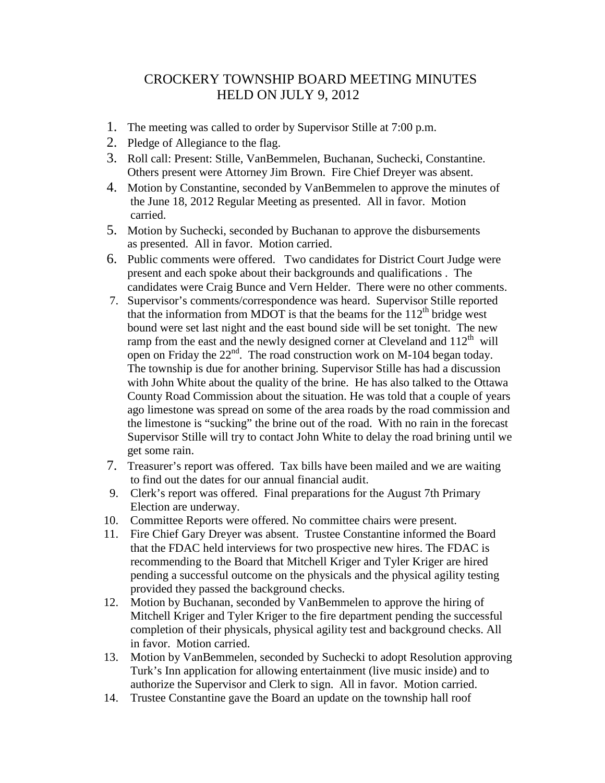## CROCKERY TOWNSHIP BOARD MEETING MINUTES HELD ON JULY 9, 2012

- 1. The meeting was called to order by Supervisor Stille at 7:00 p.m.
- 2. Pledge of Allegiance to the flag.
- 3. Roll call: Present: Stille, VanBemmelen, Buchanan, Suchecki, Constantine. Others present were Attorney Jim Brown. Fire Chief Dreyer was absent.
- 4. Motion by Constantine, seconded by VanBemmelen to approve the minutes of the June 18, 2012 Regular Meeting as presented. All in favor. Motion carried.
- 5. Motion by Suchecki, seconded by Buchanan to approve the disbursements as presented. All in favor. Motion carried.
- 6. Public comments were offered. Two candidates for District Court Judge were present and each spoke about their backgrounds and qualifications . The candidates were Craig Bunce and Vern Helder. There were no other comments.
- 7. Supervisor's comments/correspondence was heard. Supervisor Stille reported that the information from MDOT is that the beams for the  $112<sup>th</sup>$  bridge west bound were set last night and the east bound side will be set tonight. The new ramp from the east and the newly designed corner at Cleveland and  $112<sup>th</sup>$  will open on Friday the  $22<sup>nd</sup>$ . The road construction work on M-104 began today. The township is due for another brining. Supervisor Stille has had a discussion with John White about the quality of the brine. He has also talked to the Ottawa County Road Commission about the situation. He was told that a couple of years ago limestone was spread on some of the area roads by the road commission and the limestone is "sucking" the brine out of the road. With no rain in the forecast Supervisor Stille will try to contact John White to delay the road brining until we get some rain.
- 7. Treasurer's report was offered. Tax bills have been mailed and we are waiting to find out the dates for our annual financial audit.
- 9. Clerk's report was offered. Final preparations for the August 7th Primary Election are underway.
- 10. Committee Reports were offered. No committee chairs were present.
- 11. Fire Chief Gary Dreyer was absent. Trustee Constantine informed the Board that the FDAC held interviews for two prospective new hires. The FDAC is recommending to the Board that Mitchell Kriger and Tyler Kriger are hired pending a successful outcome on the physicals and the physical agility testing provided they passed the background checks.
- 12. Motion by Buchanan, seconded by VanBemmelen to approve the hiring of Mitchell Kriger and Tyler Kriger to the fire department pending the successful completion of their physicals, physical agility test and background checks. All in favor. Motion carried.
- 13. Motion by VanBemmelen, seconded by Suchecki to adopt Resolution approving Turk's Inn application for allowing entertainment (live music inside) and to authorize the Supervisor and Clerk to sign. All in favor. Motion carried.
- 14. Trustee Constantine gave the Board an update on the township hall roof